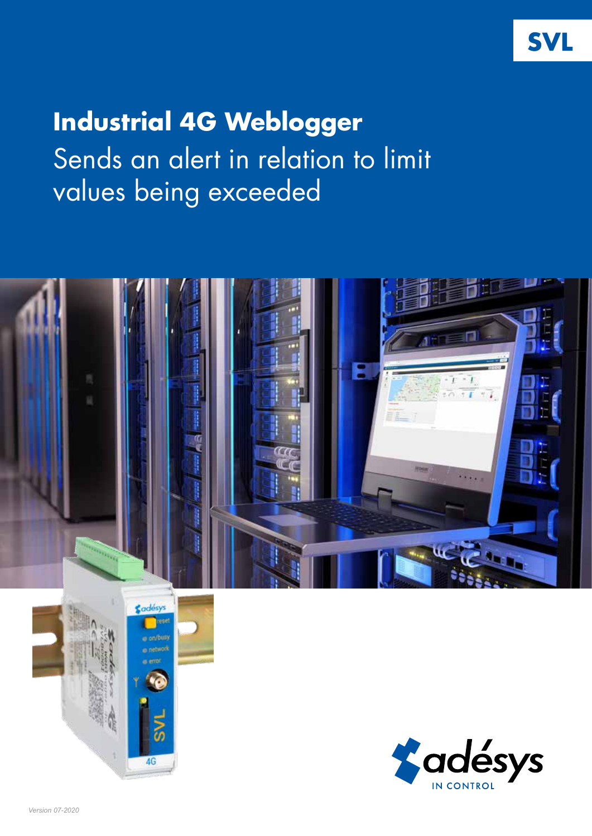# **Industrial 4G Weblogger**  Sends an alert in relation to limit values being exceeded





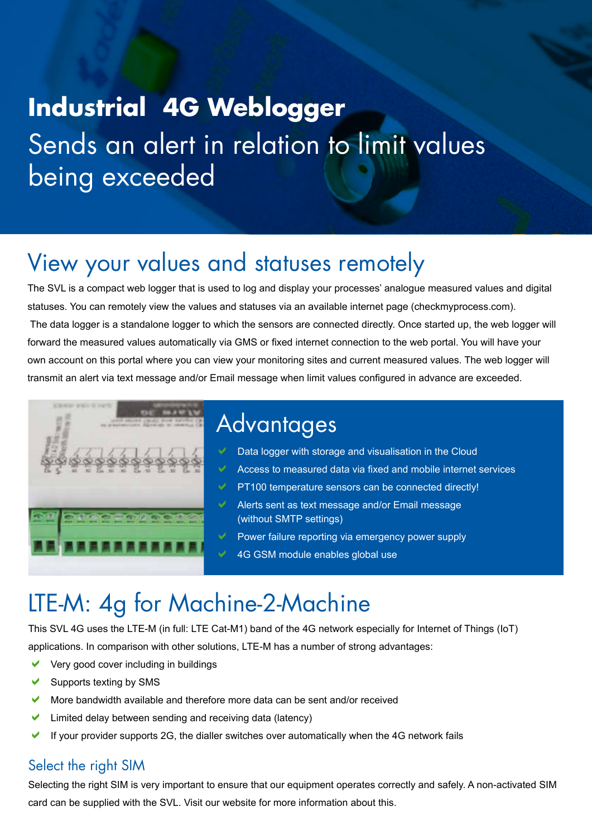# **Industrial 4G Weblogger** Sends an alert in relation to limit values being exceeded

### View your values and statuses remotely

The SVL is a compact web logger that is used to log and display your processes' analogue measured values and digital statuses. You can remotely view the values and statuses via an available internet page (checkmyprocess.com). The data logger is a standalone logger to which the sensors are connected directly. Once started up, the web logger will forward the measured values automatically via GMS or fixed internet connection to the web portal. You will have your own account on this portal where you can view your monitoring sites and current measured values. The web logger will transmit an alert via text message and/or Email message when limit values configured in advance are exceeded.



### **Advantages**

- Data logger with storage and visualisation in the Cloud
- a Access to measured data via fixed and mobile internet services
- PT100 temperature sensors can be connected directly!
- Alerts sent as text message and/or Email message (without SMTP settings)
- Power failure reporting via emergency power supply
	- 4G GSM module enables global use

## LTE-M: 4g for Machine-2-Machine

This SVL 4G uses the LTE-M (in full: LTE Cat-M1) band of the 4G network especially for Internet of Things (IoT) applications. In comparison with other solutions, LTE-M has a number of strong advantages:

- Very good cover including in buildings
- Supports texting by SMS
- More bandwidth available and therefore more data can be sent and/or received
- $\blacktriangleright$  Limited delay between sending and receiving data (latency)
- If your provider supports 2G, the dialler switches over automatically when the 4G network fails

#### Select the right SIM

Selecting the right SIM is very important to ensure that our equipment operates correctly and safely. A non-activated SIM card can be supplied with the SVL. Visit our website for more information about this.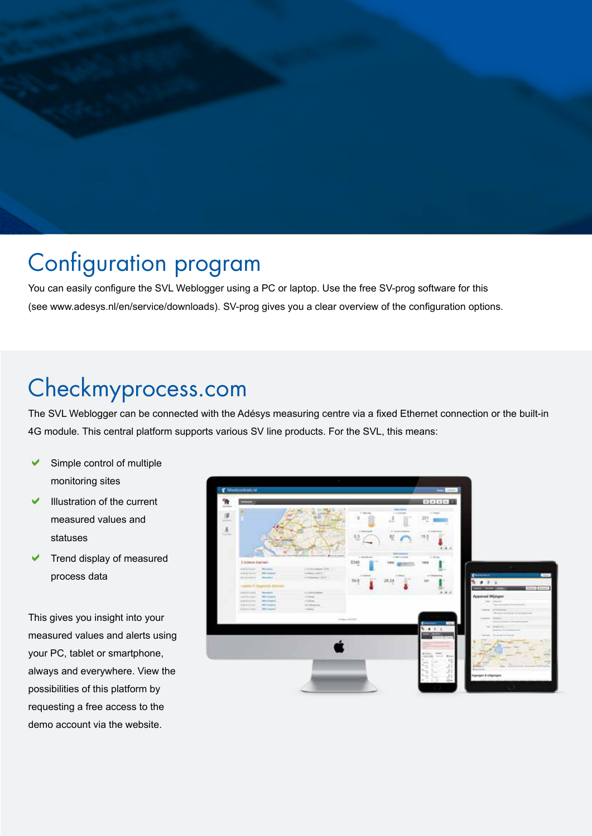## Configuration program

You can easily configure the SVL Weblogger using a PC or laptop. Use the free SV-prog software for this (see www.adesys.nl/en/service/downloads). SV-prog gives you a clear overview of the configuration options.

### Checkmyprocess.com

The SVL Weblogger can be connected with the Adésys measuring centre via a fixed Ethernet connection or the built-in 4G module. This central platform supports various SV line products. For the SVL, this means:

- Simple control of multiple monitoring sites
- Illustration of the current measured values and statuses
- Trend display of measured process data

This gives you insight into your measured values and alerts using your PC, tablet or smartphone, always and everywhere. View the possibilities of this platform by requesting a free access to the demo account via the website.